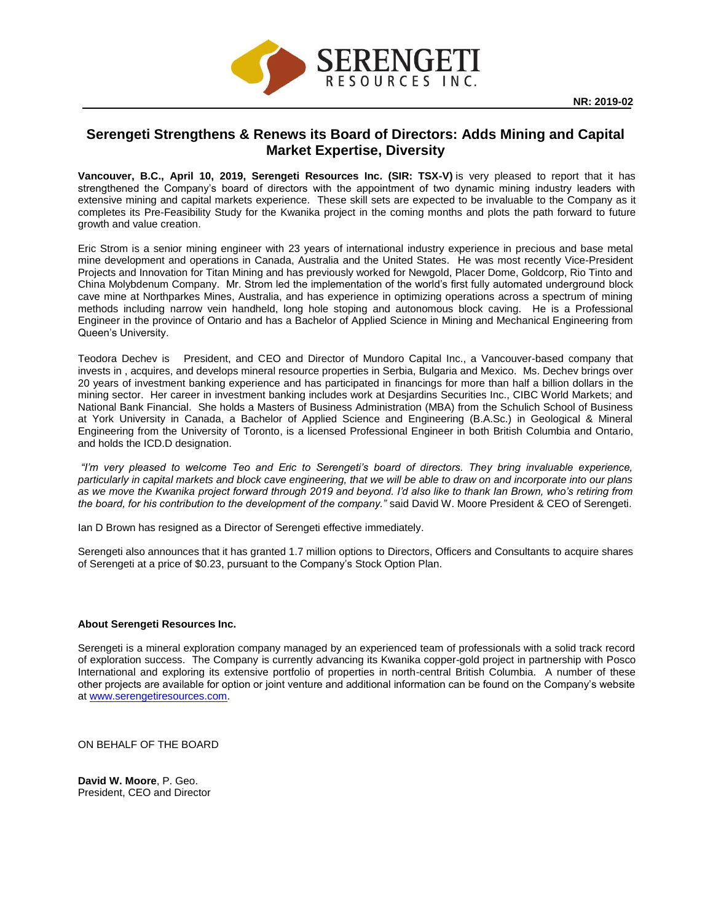

## **Serengeti Strengthens & Renews its Board of Directors: Adds Mining and Capital Market Expertise, Diversity**

**Vancouver, B.C., April 10, 2019, Serengeti Resources Inc. (SIR: TSX-V)** is very pleased to report that it has strengthened the Company's board of directors with the appointment of two dynamic mining industry leaders with extensive mining and capital markets experience. These skill sets are expected to be invaluable to the Company as it completes its Pre-Feasibility Study for the Kwanika project in the coming months and plots the path forward to future growth and value creation.

Eric Strom is a senior mining engineer with 23 years of international industry experience in precious and base metal mine development and operations in Canada, Australia and the United States. He was most recently Vice-President Projects and Innovation for Titan Mining and has previously worked for Newgold, Placer Dome, Goldcorp, Rio Tinto and China Molybdenum Company. Mr. Strom led the implementation of the world's first fully automated underground block cave mine at Northparkes Mines, Australia, and has experience in optimizing operations across a spectrum of mining methods including narrow vein handheld, long hole stoping and autonomous block caving. He is a Professional Engineer in the province of Ontario and has a Bachelor of Applied Science in Mining and Mechanical Engineering from Queen's University.

Teodora Dechev is President, and CEO and Director of Mundoro Capital Inc., a Vancouver-based company that invests in , acquires, and develops mineral resource properties in Serbia, Bulgaria and Mexico. Ms. Dechev brings over 20 years of investment banking experience and has participated in financings for more than half a billion dollars in the mining sector. Her career in investment banking includes work at Desjardins Securities Inc., CIBC World Markets; and National Bank Financial. She holds a Masters of Business Administration (MBA) from the Schulich School of Business at York University in Canada, a Bachelor of Applied Science and Engineering (B.A.Sc.) in Geological & Mineral Engineering from the University of Toronto, is a licensed Professional Engineer in both British Columbia and Ontario, and holds the ICD.D designation.

*"I'm very pleased to welcome Teo and Eric to Serengeti's board of directors. They bring invaluable experience, particularly in capital markets and block cave engineering, that we will be able to draw on and incorporate into our plans as we move the Kwanika project forward through 2019 and beyond. I'd also like to thank Ian Brown, who's retiring from the board, for his contribution to the development of the company."* said David W. Moore President & CEO of Serengeti.

Ian D Brown has resigned as a Director of Serengeti effective immediately.

Serengeti also announces that it has granted 1.7 million options to Directors, Officers and Consultants to acquire shares of Serengeti at a price of \$0.23, pursuant to the Company's Stock Option Plan.

## **About Serengeti Resources Inc.**

Serengeti is a mineral exploration company managed by an experienced team of professionals with a solid track record of exploration success. The Company is currently advancing its Kwanika copper-gold project in partnership with Posco International and exploring its extensive portfolio of properties in north-central British Columbia. A number of these other projects are available for option or joint venture and additional information can be found on the Company's website at [www.serengetiresources.com.](http://www.serengetiresources.com/)

ON BEHALF OF THE BOARD

**David W. Moore**, P. Geo. President, CEO and Director